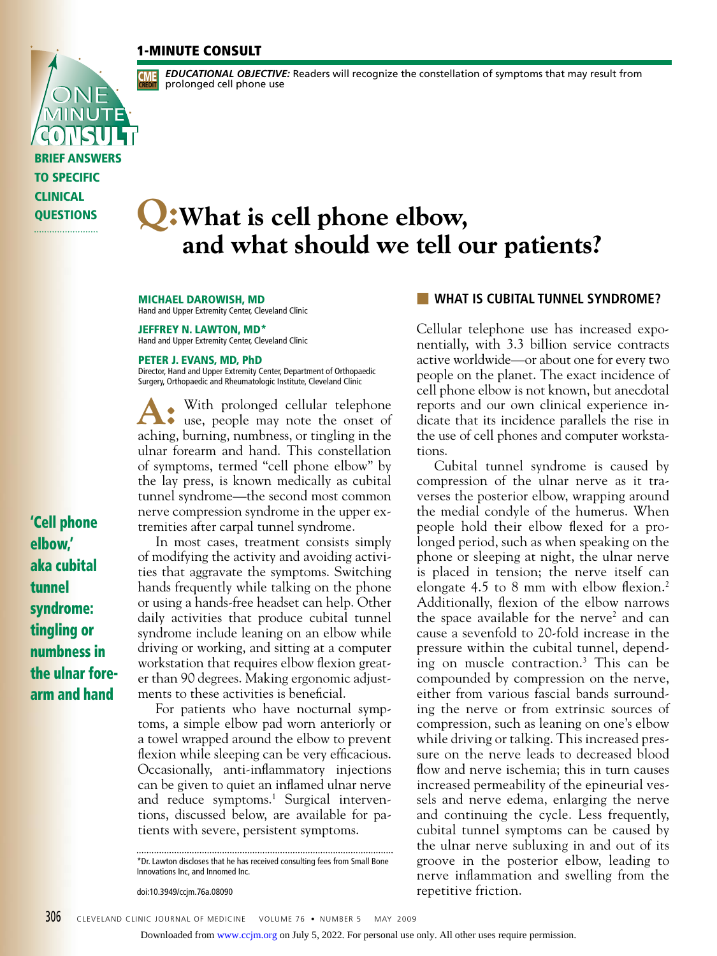## 1-MINUTE CONSULT



*EDUCATIONAL OBJECTIVE:* Readers will recognize the constellation of symptoms that may result from **Prolonged cell phone use** 

# **Q:What is cell phone elbow, and what should we tell our patients?**

MICHAEL DAROWISH, MD Hand and Upper Extremity Center, Cleveland Clinic

#### JEFFREY N. LAWTON, MD\*

Hand and Upper Extremity Center, Cleveland Clinic

#### PETER J. EVANS, MD, PhD

Director, Hand and Upper Extremity Center, Department of Orthopaedic Surgery, Orthopaedic and Rheumatologic Institute, Cleveland Clinic

With prolonged cellular telephone use, people may note the onset of aching, burning, numbness, or tingling in the ulnar forearm and hand. This constellation of symptoms, termed "cell phone elbow" by the lay press, is known medically as cubital tunnel syndrome—the second most common nerve compression syndrome in the upper extremities after carpal tunnel syndrome. **A:**

In most cases, treatment consists simply of modifying the activity and avoiding activities that aggravate the symptoms. Switching hands frequently while talking on the phone or using a hands-free headset can help. Other daily activities that produce cubital tunnel syndrome include leaning on an elbow while driving or working, and sitting at a computer workstation that requires elbow flexion greater than 90 degrees. Making ergonomic adjustments to these activities is beneficial.

For patients who have nocturnal symptoms, a simple elbow pad worn anteriorly or a towel wrapped around the elbow to prevent flexion while sleeping can be very efficacious. Occasionally, anti-inflammatory injections can be given to quiet an inflamed ulnar nerve and reduce symptoms.<sup>1</sup> Surgical interventions, discussed below, are available for patients with severe, persistent symptoms.

doi:10.3949/ccjm.76a.08090

## ■ **What is cubital tunnel syndrome?**

Cellular telephone use has increased exponentially, with 3.3 billion service contracts active worldwide—or about one for every two people on the planet. The exact incidence of cell phone elbow is not known, but anecdotal reports and our own clinical experience indicate that its incidence parallels the rise in the use of cell phones and computer workstations.

Cubital tunnel syndrome is caused by compression of the ulnar nerve as it traverses the posterior elbow, wrapping around the medial condyle of the humerus. When people hold their elbow flexed for a prolonged period, such as when speaking on the phone or sleeping at night, the ulnar nerve is placed in tension; the nerve itself can elongate 4.5 to 8 mm with elbow flexion.<sup>2</sup> Additionally, flexion of the elbow narrows the space available for the nerve<sup>2</sup> and can cause a sevenfold to 20-fold increase in the pressure within the cubital tunnel, depending on muscle contraction.3 This can be compounded by compression on the nerve, either from various fascial bands surrounding the nerve or from extrinsic sources of compression, such as leaning on one's elbow while driving or talking. This increased pressure on the nerve leads to decreased blood flow and nerve ischemia; this in turn causes increased permeability of the epineurial vessels and nerve edema, enlarging the nerve and continuing the cycle. Less frequently, cubital tunnel symptoms can be caused by the ulnar nerve subluxing in and out of its groove in the posterior elbow, leading to nerve inflammation and swelling from the repetitive friction.

aka cubital tunnel syndrome: tingling or numbness in the ulnar forearm and hand

'Cell phone elbow,'

<sup>\*</sup>Dr. Lawton discloses that he has received consulting fees from Small Bone Innovations Inc, and Innomed Inc.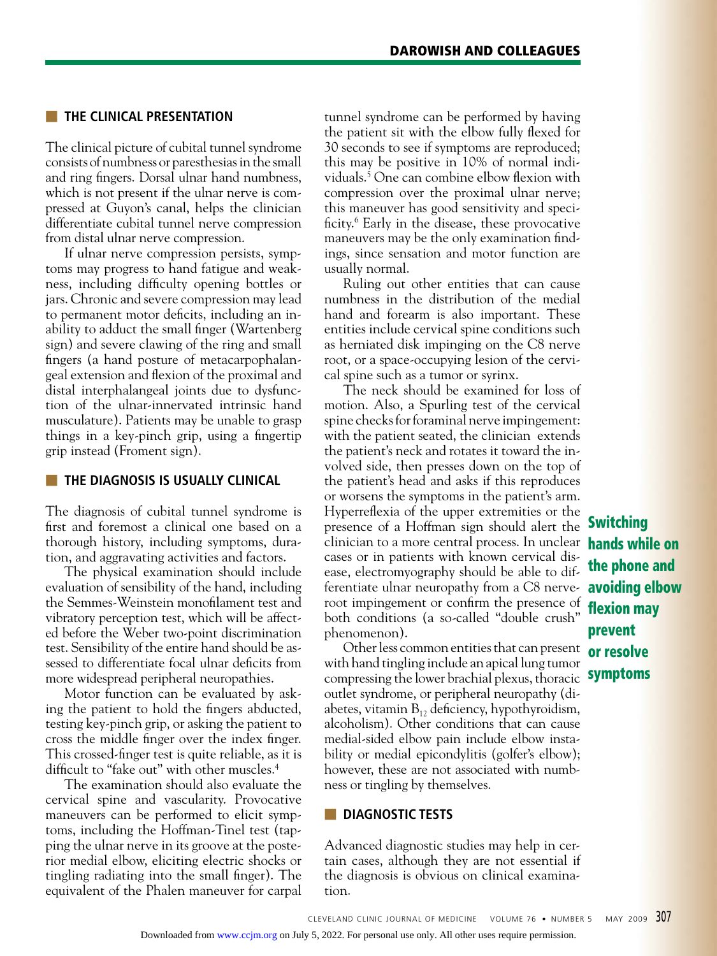### ■ **The clinical presentation**

The clinical picture of cubital tunnel syndrome consists of numbness or paresthesias in the small and ring fingers. Dorsal ulnar hand numbness, which is not present if the ulnar nerve is compressed at Guyon's canal, helps the clinician differentiate cubital tunnel nerve compression from distal ulnar nerve compression.

If ulnar nerve compression persists, symptoms may progress to hand fatigue and weakness, including difficulty opening bottles or jars. Chronic and severe compression may lead to permanent motor deficits, including an inability to adduct the small finger (Wartenberg sign) and severe clawing of the ring and small fingers (a hand posture of metacarpophalangeal extension and flexion of the proximal and distal interphalangeal joints due to dysfunction of the ulnar-innervated intrinsic hand musculature). Patients may be unable to grasp things in a key-pinch grip, using a fingertip grip instead (Froment sign).

# **THE DIAGNOSIS IS USUALLY CLINICAL**

The diagnosis of cubital tunnel syndrome is first and foremost a clinical one based on a thorough history, including symptoms, duration, and aggravating activities and factors.

The physical examination should include evaluation of sensibility of the hand, including the Semmes-Weinstein monofilament test and vibratory perception test, which will be affected before the Weber two-point discrimination test. Sensibility of the entire hand should be assessed to differentiate focal ulnar deficits from more widespread peripheral neuropathies.

Motor function can be evaluated by asking the patient to hold the fingers abducted, testing key-pinch grip, or asking the patient to cross the middle finger over the index finger. This crossed-finger test is quite reliable, as it is difficult to "fake out" with other muscles.<sup>4</sup>

The examination should also evaluate the cervical spine and vascularity. Provocative maneuvers can be performed to elicit symptoms, including the Hoffman-Tinel test (tapping the ulnar nerve in its groove at the posterior medial elbow, eliciting electric shocks or tingling radiating into the small finger). The equivalent of the Phalen maneuver for carpal

tunnel syndrome can be performed by having the patient sit with the elbow fully flexed for 30 seconds to see if symptoms are reproduced; this may be positive in 10% of normal individuals.5 One can combine elbow flexion with compression over the proximal ulnar nerve; this maneuver has good sensitivity and specificity.<sup>6</sup> Early in the disease, these provocative maneuvers may be the only examination findings, since sensation and motor function are usually normal.

Ruling out other entities that can cause numbness in the distribution of the medial hand and forearm is also important. These entities include cervical spine conditions such as herniated disk impinging on the C8 nerve root, or a space-occupying lesion of the cervical spine such as a tumor or syrinx.

The neck should be examined for loss of motion. Also, a Spurling test of the cervical spine checks for foraminal nerve impingement: with the patient seated, the clinician extends the patient's neck and rotates it toward the involved side, then presses down on the top of the patient's head and asks if this reproduces or worsens the symptoms in the patient's arm. Hyperreflexia of the upper extremities or the presence of a Hoffman sign should alert the **Switching** clinician to a more central process. In unclear hands while on cases or in patients with known cervical disease, electromyography should be able to differentiate ulnar neuropathy from a C8 nerve- **avoiding elbow** root impingement or confirm the presence of both conditions (a so-called "double crush" phenomenon).

Other less common entities that can present **or resolve** with hand tingling include an apical lung tumor compressing the lower brachial plexus, thoracic **symptoms** outlet syndrome, or peripheral neuropathy (diabetes, vitamin  $B_{12}$  deficiency, hypothyroidism, alcoholism). Other conditions that can cause medial-sided elbow pain include elbow instability or medial epicondylitis (golfer's elbow); however, these are not associated with numbness or tingling by themselves.

## ■ **Diagnostic tests**

Advanced diagnostic studies may help in certain cases, although they are not essential if the diagnosis is obvious on clinical examination.

the phone and flexion may prevent